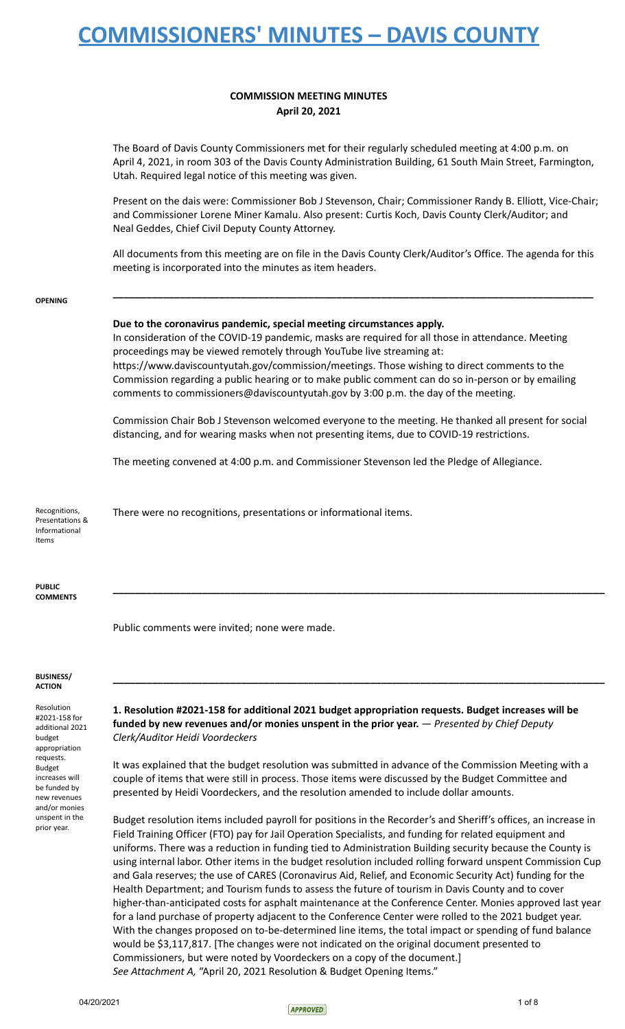## **COMMISSION MEETING MINUTES April 20, 2021**

The Board of Davis County Commissioners met for their regularly scheduled meeting at 4:00 p.m. on April 4, 2021, in room 303 of the Davis County Administration Building, 61 South Main Street, Farmington, Utah. Required legal notice of this meeting was given.

Present on the dais were: Commissioner Bob J Stevenson, Chair; Commissioner Randy B. Elliott, Vice-Chair; and Commissioner Lorene Miner Kamalu. Also present: Curtis Koch, Davis County Clerk/Auditor; and Neal Geddes, Chief Civil Deputy County Attorney.

All documents from this meeting are on file in the Davis County Clerk/Auditor's Office. The agenda for this meeting is incorporated into the minutes as item headers.

**\_\_\_\_\_\_\_\_\_\_\_\_\_\_\_\_\_\_\_\_\_\_\_\_\_\_\_\_\_\_\_\_\_\_\_\_\_\_\_\_\_\_\_\_\_\_\_\_\_\_\_\_\_\_\_\_\_\_\_\_\_\_\_\_\_\_\_\_\_\_\_\_\_\_\_\_\_\_\_\_\_\_\_\_\_\_**

**OPENING**

### **Due to the coronavirus pandemic, special meeting circumstances apply.**

In consideration of the COVID-19 pandemic, masks are required for all those in attendance. Meeting proceedings may be viewed remotely through YouTube live streaming at: https://www.daviscountyutah.gov/commission/meetings. Those wishing to direct comments to the Commission regarding a public hearing or to make public comment can do so in-person or by emailing comments to commissioners@daviscountyutah.gov by 3:00 p.m. the day of the meeting.

Commission Chair Bob J Stevenson welcomed everyone to the meeting. He thanked all present for social distancing, and for wearing masks when not presenting items, due to COVID-19 restrictions.

The meeting convened at 4:00 p.m. and Commissioner Stevenson led the Pledge of Allegiance.

Recognitions, Presentations & Informational Items There were no recognitions, presentations or informational items.

**PUBLIC COMMENTS**

Public comments were invited; none were made.

#### **BUSINESS/ ACTION**

Resolution #2021-158 for additional 2021 budget appropriation requests. Budget increases will be funded by new revenues and/or monies unspent in the prior year.

**1. Resolution #2021-158 for additional 2021 budget appropriation requests. Budget increases will be funded by new revenues and/or monies unspent in the prior year.** — *Presented by Chief Deputy Clerk/Auditor Heidi Voordeckers*

**\_\_\_\_\_\_\_\_\_\_\_\_\_\_\_\_\_\_\_\_\_\_\_\_\_\_\_\_\_\_\_\_\_\_\_\_\_\_\_\_\_\_\_\_\_\_\_\_\_\_\_\_\_\_\_\_\_\_\_\_\_\_\_\_\_\_\_\_\_\_\_\_\_\_\_\_\_\_\_\_\_\_\_\_\_\_\_\_**

**\_\_\_\_\_\_\_\_\_\_\_\_\_\_\_\_\_\_\_\_\_\_\_\_\_\_\_\_\_\_\_\_\_\_\_\_\_\_\_\_\_\_\_\_\_\_\_\_\_\_\_\_\_\_\_\_\_\_\_\_\_\_\_\_\_\_\_\_\_\_\_\_\_\_\_\_\_\_\_\_\_\_\_\_\_\_\_\_**

It was explained that the budget resolution was submitted in advance of the Commission Meeting with a couple of items that were still in process. Those items were discussed by the Budget Committee and presented by Heidi Voordeckers, and the resolution amended to include dollar amounts.

Budget resolution items included payroll for positions in the Recorder's and Sheriff's offices, an increase in Field Training Officer (FTO) pay for Jail Operation Specialists, and funding for related equipment and uniforms. There was a reduction in funding tied to Administration Building security because the County is using internal labor. Other items in the budget resolution included rolling forward unspent Commission Cup and Gala reserves; the use of CARES (Coronavirus Aid, Relief, and Economic Security Act) funding for the Health Department; and Tourism funds to assess the future of tourism in Davis County and to cover higher-than-anticipated costs for asphalt maintenance at the Conference Center. Monies approved last year for a land purchase of property adjacent to the Conference Center were rolled to the 2021 budget year. With the changes proposed on to-be-determined line items, the total impact or spending of fund balance would be \$3,117,817. [The changes were not indicated on the original document presented to Commissioners, but were noted by Voordeckers on a copy of the document.] *See Attachment A,* "April 20, 2021 Resolution & Budget Opening Items."

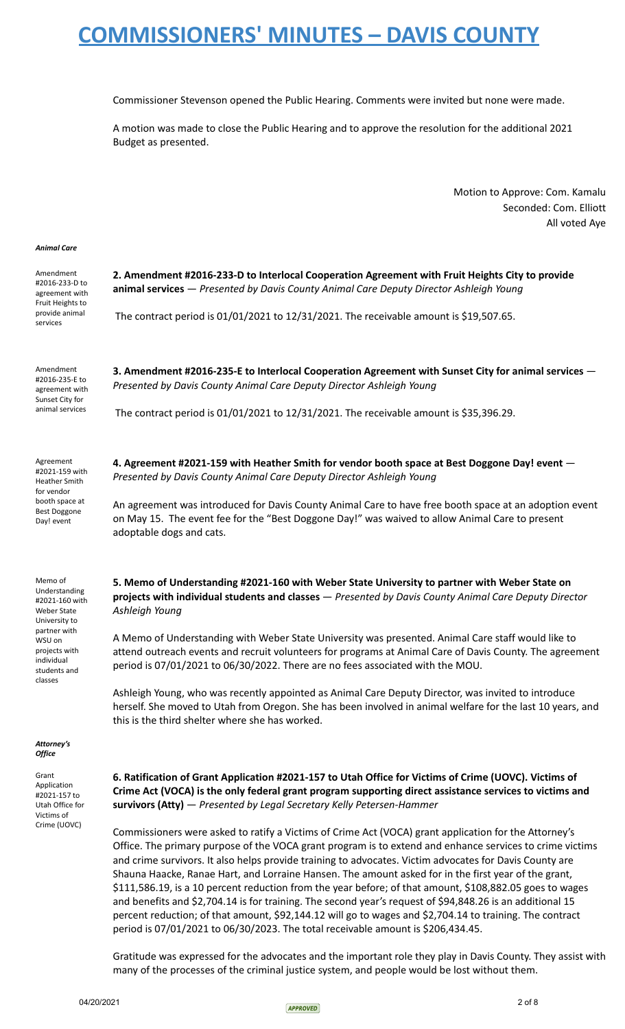Commissioner Stevenson opened the Public Hearing. Comments were invited but none were made.

A motion was made to close the Public Hearing and to approve the resolution for the additional 2021 Budget as presented.

> Motion to Approve: Com. Kamalu Seconded: Com. Elliott All voted Aye

### *Animal Care*

| Amendment<br>#2016-233-D to<br>agreement with<br>Fruit Heights to<br>provide animal<br>services                                                                       | 2. Amendment #2016-233-D to Interlocal Cooperation Agreement with Fruit Heights City to provide<br>animal services - Presented by Davis County Animal Care Deputy Director Ashleigh Young<br>The contract period is 01/01/2021 to 12/31/2021. The receivable amount is \$19,507.65.                                          |
|-----------------------------------------------------------------------------------------------------------------------------------------------------------------------|------------------------------------------------------------------------------------------------------------------------------------------------------------------------------------------------------------------------------------------------------------------------------------------------------------------------------|
| Amendment<br>#2016-235-E to<br>agreement with<br>Sunset City for<br>animal services                                                                                   | 3. Amendment #2016-235-E to Interlocal Cooperation Agreement with Sunset City for animal services -<br>Presented by Davis County Animal Care Deputy Director Ashleigh Young<br>The contract period is $01/01/2021$ to $12/31/2021$ . The receivable amount is \$35,396.29.                                                   |
| Agreement<br>#2021-159 with<br>Heather Smith<br>for vendor<br>booth space at<br><b>Best Doggone</b><br>Day! event                                                     | 4. Agreement #2021-159 with Heather Smith for vendor booth space at Best Doggone Day! event -<br>Presented by Davis County Animal Care Deputy Director Ashleigh Young                                                                                                                                                        |
|                                                                                                                                                                       | An agreement was introduced for Davis County Animal Care to have free booth space at an adoption event<br>on May 15. The event fee for the "Best Doggone Day!" was waived to allow Animal Care to present<br>adoptable dogs and cats.                                                                                        |
| Memo of<br>Understanding<br>#2021-160 with<br><b>Weber State</b><br>University to<br>partner with<br>WSU on<br>projects with<br>individual<br>students and<br>classes | 5. Memo of Understanding #2021-160 with Weber State University to partner with Weber State on<br>projects with individual students and classes - Presented by Davis County Animal Care Deputy Director<br>Ashleigh Young                                                                                                     |
|                                                                                                                                                                       | A Memo of Understanding with Weber State University was presented. Animal Care staff would like to<br>attend outreach events and recruit volunteers for programs at Animal Care of Davis County. The agreement<br>period is 07/01/2021 to 06/30/2022. There are no fees associated with the MOU.                             |
|                                                                                                                                                                       | Ashleigh Young, who was recently appointed as Animal Care Deputy Director, was invited to introduce<br>herself. She moved to Utah from Oregon. She has been involved in animal welfare for the last 10 years, and<br>this is the third shelter where she has worked.                                                         |
| Attorney's<br>Office                                                                                                                                                  |                                                                                                                                                                                                                                                                                                                              |
| Grant<br>Application<br>#2021-157 to<br>Utah Office for<br>Victims of<br>Crime (UOVC)                                                                                 | 6. Ratification of Grant Application #2021-157 to Utah Office for Victims of Crime (UOVC). Victims of<br>Crime Act (VOCA) is the only federal grant program supporting direct assistance services to victims and<br>survivors $(Atty)$ - Presented by Legal Secretary Kelly Petersen-Hammer                                  |
|                                                                                                                                                                       | Commissioners were asked to ratify a Victims of Crime Act (VOCA) grant application for the Attorney's<br>Office. The primary purpose of the VOCA grant program is to extend and enhance services to crime victims<br>and crime survivors. It also helps provide training to advocates. Victim advocates for Davis County are |

Shauna Haacke, Ranae Hart, and Lorraine Hansen. The amount asked for in the first year of the grant, \$111,586.19, is a 10 percent reduction from the year before; of that amount, \$108,882.05 goes to wages and benefits and \$2,704.14 is for training. The second year's request of \$94,848.26 is an additional 15 percent reduction; of that amount, \$92,144.12 will go to wages and \$2,704.14 to training. The contract period is 07/01/2021 to 06/30/2023. The total receivable amount is \$206,434.45.

Gratitude was expressed for the advocates and the important role they play in Davis County. They assist with many of the processes of the criminal justice system, and people would be lost without them.

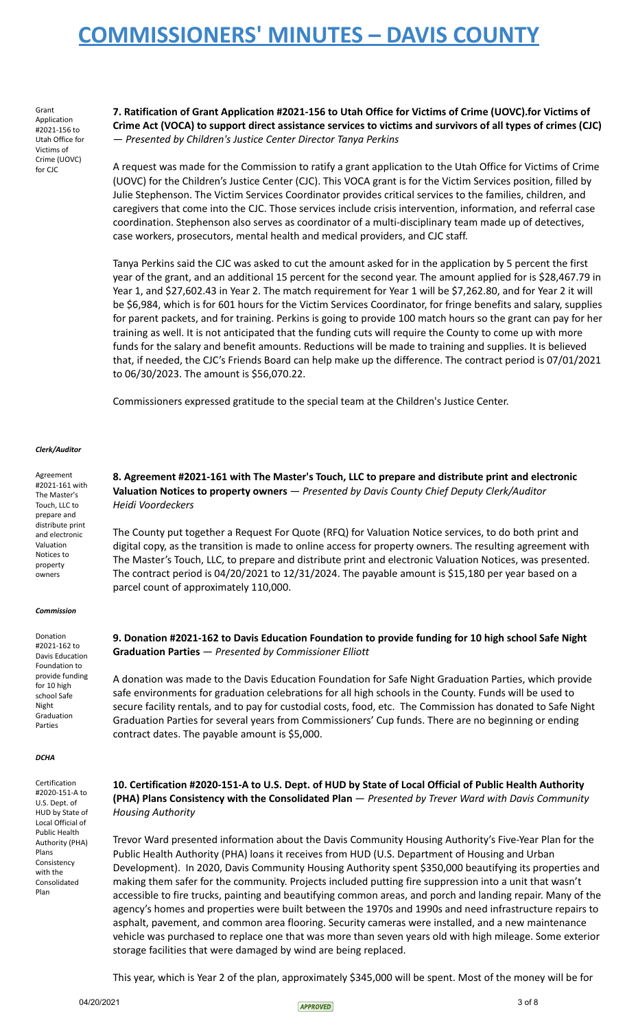Grant Application #2021-156 to Utah Office for Victims of Crime (UOVC) for CJC

**7. Ratification of Grant Application #2021-156 to Utah Office for Victims of Crime (UOVC).for Victims of** Crime Act (VOCA) to support direct assistance services to victims and survivors of all types of crimes (CJC) — *Presented by Children's Justice Center Director Tanya Perkins*

A request was made for the Commission to ratify a grant application to the Utah Office for Victims of Crime (UOVC) for the Children's Justice Center (CJC). This VOCA grant is for the Victim Services position, filled by Julie Stephenson. The Victim Services Coordinator provides critical services to the families, children, and caregivers that come into the CJC. Those services include crisis intervention, information, and referral case coordination. Stephenson also serves as coordinator of a multi-disciplinary team made up of detectives, case workers, prosecutors, mental health and medical providers, and CJC staff.

Tanya Perkins said the CJC was asked to cut the amount asked for in the application by 5 percent the first year of the grant, and an additional 15 percent for the second year. The amount applied for is \$28,467.79 in Year 1, and \$27,602.43 in Year 2. The match requirement for Year 1 will be \$7,262.80, and for Year 2 it will be \$6,984, which is for 601 hours for the Victim Services Coordinator, for fringe benefits and salary, supplies for parent packets, and for training. Perkins is going to provide 100 match hours so the grant can pay for her training as well. It is not anticipated that the funding cuts will require the County to come up with more funds for the salary and benefit amounts. Reductions will be made to training and supplies. It is believed that, if needed, the CJC's Friends Board can help make up the difference. The contract period is 07/01/2021 to 06/30/2023. The amount is \$56,070.22.

Commissioners expressed gratitude to the special team at the Children's Justice Center.

#### *Clerk/Auditor*

Agreement #2021-161 with The Master's Touch, LLC to prepare and distribute print and electronic Valuation Notices to property owners

#### *Commission*

Donation #2021-162 to Davis Education Foundation to provide funding for 10 high school Safe Night Graduation Parties

#### *DCHA*

Certification #2020-151-A to U.S. Dept. of HUD by State of Local Official of Public Health Authority (PHA) Plans Consistency with the Consolidated Plan

**8. Agreement #2021-161 with The Master's Touch, LLC to prepare and distribute print and electronic Valuation Notices to property owners** — *Presented by Davis County Chief Deputy Clerk/Auditor Heidi Voordeckers*

The County put together a Request For Quote (RFQ) for Valuation Notice services, to do both print and digital copy, as the transition is made to online access for property owners. The resulting agreement with The Master's Touch, LLC, to prepare and distribute print and electronic Valuation Notices, was presented. The contract period is 04/20/2021 to 12/31/2024. The payable amount is \$15,180 per year based on a parcel count of approximately 110,000.

## **9. Donation #2021-162 to Davis Education Foundation to provide funding for 10 high school Safe Night Graduation Parties** — *Presented by Commissioner Elliott*

A donation was made to the Davis Education Foundation for Safe Night Graduation Parties, which provide safe environments for graduation celebrations for all high schools in the County. Funds will be used to secure facility rentals, and to pay for custodial costs, food, etc. The Commission has donated to Safe Night Graduation Parties for several years from Commissioners' Cup funds. There are no beginning or ending contract dates. The payable amount is \$5,000.

**10. Certification #2020-151-A to U.S. Dept. of HUD by State of Local Official of Public Health Authority (PHA) Plans Consistency with the Consolidated Plan** — *Presented by Trever Ward with Davis Community Housing Authority*

Trevor Ward presented information about the Davis Community Housing Authority's Five-Year Plan for the Public Health Authority (PHA) loans it receives from HUD (U.S. Department of Housing and Urban Development). In 2020, Davis Community Housing Authority spent \$350,000 beautifying its properties and making them safer for the community. Projects included putting fire suppression into a unit that wasn't accessible to fire trucks, painting and beautifying common areas, and porch and landing repair. Many of the agency's homes and properties were built between the 1970s and 1990s and need infrastructure repairs to asphalt, pavement, and common area flooring. Security cameras were installed, and a new maintenance vehicle was purchased to replace one that was more than seven years old with high mileage. Some exterior storage facilities that were damaged by wind are being replaced.

This year, which is Year 2 of the plan, approximately \$345,000 will be spent. Most of the money will be for

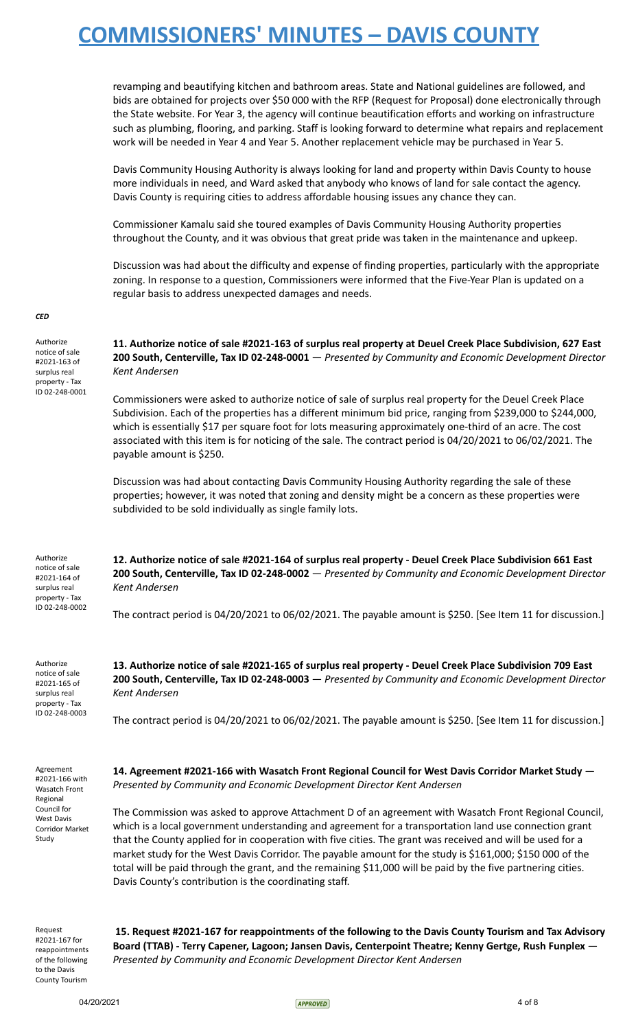revamping and beautifying kitchen and bathroom areas. State and National guidelines are followed, and bids are obtained for projects over \$50 000 with the RFP (Request for Proposal) done electronically through the State website. For Year 3, the agency will continue beautification efforts and working on infrastructure such as plumbing, flooring, and parking. Staff is looking forward to determine what repairs and replacement work will be needed in Year 4 and Year 5. Another replacement vehicle may be purchased in Year 5.

Davis Community Housing Authority is always looking for land and property within Davis County to house more individuals in need, and Ward asked that anybody who knows of land for sale contact the agency. Davis County is requiring cities to address affordable housing issues any chance they can.

Commissioner Kamalu said she toured examples of Davis Community Housing Authority properties throughout the County, and it was obvious that great pride was taken in the maintenance and upkeep.

Discussion was had about the difficulty and expense of finding properties, particularly with the appropriate zoning. In response to a question, Commissioners were informed that the Five-Year Plan is updated on a regular basis to address unexpected damages and needs.

*CED*

Authorize notice of sale #2021-163 of surplus real property - Tax ID 02-248-0001 11. Authorize notice of sale #2021-163 of surplus real property at Deuel Creek Place Subdivision, 627 East **200 South, Centerville, Tax ID 02-248-0001** — *Presented by Community and Economic Development Director Kent Andersen*

Commissioners were asked to authorize notice of sale of surplus real property for the Deuel Creek Place Subdivision. Each of the properties has a different minimum bid price, ranging from \$239,000 to \$244,000, which is essentially \$17 per square foot for lots measuring approximately one-third of an acre. The cost associated with this item is for noticing of the sale. The contract period is 04/20/2021 to 06/02/2021. The payable amount is \$250.

Discussion was had about contacting Davis Community Housing Authority regarding the sale of these properties; however, it was noted that zoning and density might be a concern as these properties were subdivided to be sold individually as single family lots.

Authorize notice of sale #2021-164 of surplus real property - Tax ID 02-248-0002 **12. Authorize notice of sale #2021-164 of surplus real property - Deuel Creek Place Subdivision 661 East 200 South, Centerville, Tax ID 02-248-0002** — *Presented by Community and Economic Development Director Kent Andersen*

The contract period is 04/20/2021 to 06/02/2021. The payable amount is \$250. [See Item 11 for discussion.]

Authorize notice of sale #2021-165 of surplus real property - Tax ID 02-248-0003

Agreement #2021-166 with Wasatch Front Regional Council for West Davis Corridor Market Study

**13. Authorize notice of sale #2021-165 of surplus real property - Deuel Creek Place Subdivision 709 East 200 South, Centerville, Tax ID 02-248-0003** — *Presented by Community and Economic Development Director Kent Andersen*

The contract period is 04/20/2021 to 06/02/2021. The payable amount is \$250. [See Item 11 for discussion.]

**14. Agreement #2021-166 with Wasatch Front Regional Council for West Davis Corridor Market Study** — *Presented by Community and Economic Development Director Kent Andersen*

The Commission was asked to approve Attachment D of an agreement with Wasatch Front Regional Council, which is a local government understanding and agreement for a transportation land use connection grant that the County applied for in cooperation with five cities. The grant was received and will be used for a market study for the West Davis Corridor. The payable amount for the study is \$161,000; \$150 000 of the total will be paid through the grant, and the remaining \$11,000 will be paid by the five partnering cities. Davis County's contribution is the coordinating staff.

Request #2021-167 for reappointments of the following to the Davis County Tourism

**15. Request #2021-167 for reappointments of the following to the Davis County Tourism and Tax Advisory Board (TTAB) - Terry Capener, Lagoon; Jansen Davis, Centerpoint Theatre; Kenny Gertge, Rush Funplex** — *Presented by Community and Economic Development Director Kent Andersen*

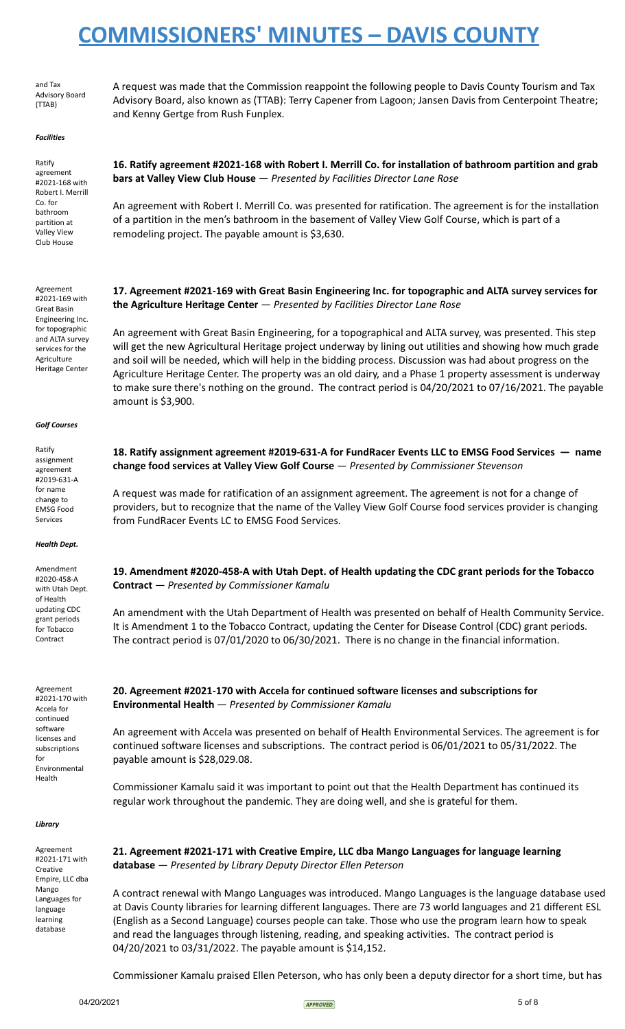and Tax Advisory Board (TTAB)

A request was made that the Commission reappoint the following people to Davis County Tourism and Tax Advisory Board, also known as (TTAB): Terry Capener from Lagoon; Jansen Davis from Centerpoint Theatre; and Kenny Gertge from Rush Funplex.

#### *Facilities*

Ratify agreement #2021-168 with Robert I. Merrill Co. for bathroom partition at Valley View Club House

**16. Ratify agreement #2021-168 with Robert I. Merrill Co. for installation of bathroom partition and grab bars at Valley View Club House** — *Presented by Facilities Director Lane Rose*

An agreement with Robert I. Merrill Co. was presented for ratification. The agreement is for the installation of a partition in the men's bathroom in the basement of Valley View Golf Course, which is part of a remodeling project. The payable amount is \$3,630.

Agreement #2021-169 with Great Basin Engineering Inc. for topographic and ALTA survey services for the Agriculture Heritage Center

### **17. Agreement #2021-169 with Great Basin Engineering Inc. for topographic and ALTA survey services for the Agriculture Heritage Center** — *Presented by Facilities Director Lane Rose*

An agreement with Great Basin Engineering, for a topographical and ALTA survey, was presented. This step will get the new Agricultural Heritage project underway by lining out utilities and showing how much grade and soil will be needed, which will help in the bidding process. Discussion was had about progress on the Agriculture Heritage Center. The property was an old dairy, and a Phase 1 property assessment is underway to make sure there's nothing on the ground. The contract period is 04/20/2021 to 07/16/2021. The payable amount is \$3,900.

**18. Ratify assignment agreement #2019-631-A for FundRacer Events LLC to EMSG Food Services — name**

A request was made for ratification of an assignment agreement. The agreement is not for a change of providers, but to recognize that the name of the Valley View Golf Course food services provider is changing

**change food services at Valley View Golf Course** — *Presented by Commissioner Stevenson*

#### *Golf Courses*

 $D \rightarrow \text{F} \rightarrow \text{F}$ 

| παιπγ            |
|------------------|
| assignment       |
| agreement        |
| #2019-631-A      |
| for name         |
| change to        |
| <b>FMSG Food</b> |
| Services         |
|                  |

#### *Health Dept.*

Amendment #2020-458-A with Utah Dept. of Health updating CDC grant periods for Tobacco Contract

Agreement #2021-170 with Accela for continued software licenses and subscriptions for Environmental Health

# **19. Amendment #2020-458-A with Utah Dept. of Health updating the CDC grant periods for the Tobacco**

**Contract** — *Presented by Commissioner Kamalu*

from FundRacer Events LC to EMSG Food Services.

An amendment with the Utah Department of Health was presented on behalf of Health Community Service. It is Amendment 1 to the Tobacco Contract, updating the Center for Disease Control (CDC) grant periods. The contract period is 07/01/2020 to 06/30/2021. There is no change in the financial information.

## **20. Agreement #2021-170 with Accela for continued software licenses and subscriptions for Environmental Health** — *Presented by Commissioner Kamalu*

An agreement with Accela was presented on behalf of Health Environmental Services. The agreement is for continued software licenses and subscriptions. The contract period is 06/01/2021 to 05/31/2022. The payable amount is \$28,029.08.

Commissioner Kamalu said it was important to point out that the Health Department has continued its regular work throughout the pandemic. They are doing well, and she is grateful for them.

### *Library*

Agreement #2021-171 with Creative Empire, LLC dba Mango Languages for language learning database

## **21. Agreement #2021-171 with Creative Empire, LLC dba Mango Languages for language learning database** — *Presented by Library Deputy Director Ellen Peterson*

A contract renewal with Mango Languages was introduced. Mango Languages is the language database used at Davis County libraries for learning different languages. There are 73 world languages and 21 different ESL (English as a Second Language) courses people can take. Those who use the program learn how to speak and read the languages through listening, reading, and speaking activities. The contract period is 04/20/2021 to 03/31/2022. The payable amount is \$14,152.

Commissioner Kamalu praised Ellen Peterson, who has only been a deputy director for a short time, but has

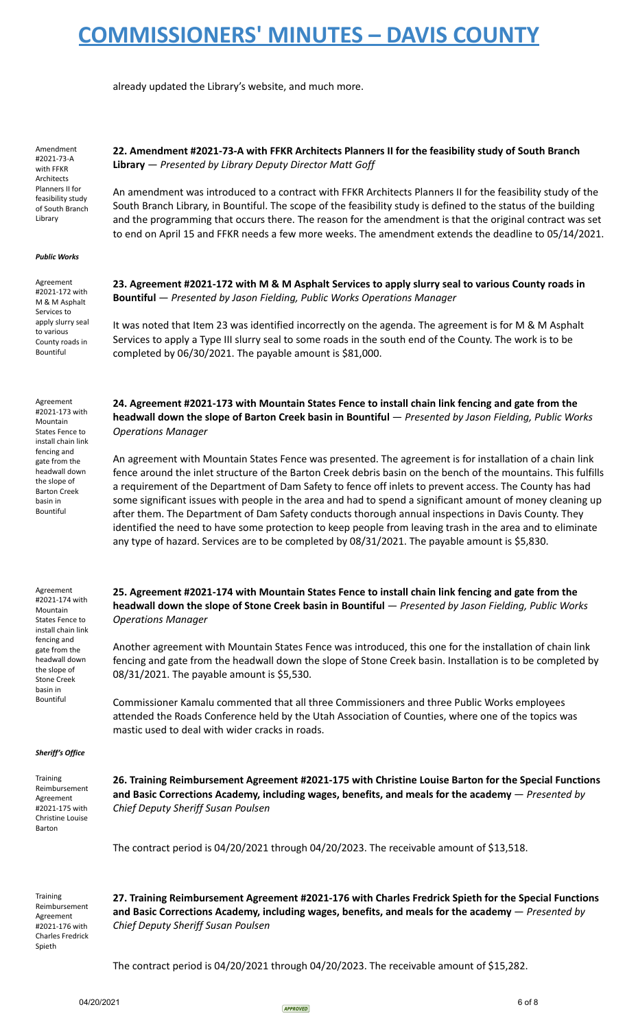already updated the Library's website, and much more.

Amendment #2021-73-A with FFKR Architects Planners II for feasibility study of South Branch Library

### **22. Amendment #2021-73-A with FFKR Architects Planners II for the feasibility study of South Branch Library** — *Presented by Library Deputy Director Matt Goff*

An amendment was introduced to a contract with FFKR Architects Planners II for the feasibility study of the South Branch Library, in Bountiful. The scope of the feasibility study is defined to the status of the building and the programming that occurs there. The reason for the amendment is that the original contract was set to end on April 15 and FFKR needs a few more weeks. The amendment extends the deadline to 05/14/2021.

### *Public Works*

Agreement #2021-172 with M & M Asphalt Services to apply slurry seal to various County roads in Bountiful

Agreement #2021-173 with Mountain States Fence to install chain link fencing and gate from the headwall down the slope of Barton Creek basin in Bountiful

23. Agreement #2021-172 with M & M Asphalt Services to apply slurry seal to various County roads in **Bountiful** — *Presented by Jason Fielding, Public Works Operations Manager*

It was noted that Item 23 was identified incorrectly on the agenda. The agreement is for M & M Asphalt Services to apply a Type III slurry seal to some roads in the south end of the County. The work is to be completed by 06/30/2021. The payable amount is \$81,000.

**24. Agreement #2021-173 with Mountain States Fence to install chain link fencing and gate from the headwall down the slope of Barton Creek basin in Bountiful** — *Presented by Jason Fielding, Public Works Operations Manager*

An agreement with Mountain States Fence was presented. The agreement is for installation of a chain link fence around the inlet structure of the Barton Creek debris basin on the bench of the mountains. This fulfills a requirement of the Department of Dam Safety to fence off inlets to prevent access. The County has had some significant issues with people in the area and had to spend a significant amount of money cleaning up after them. The Department of Dam Safety conducts thorough annual inspections in Davis County. They identified the need to have some protection to keep people from leaving trash in the area and to eliminate any type of hazard. Services are to be completed by 08/31/2021. The payable amount is \$5,830.

Agreement #2021-174 with Mountain States Fence to install chain link fencing and gate from the headwall down the slope of Stone Creek basin in Bountiful

**25. Agreement #2021-174 with Mountain States Fence to install chain link fencing and gate from the headwall down the slope of Stone Creek basin in Bountiful** — *Presented by Jason Fielding, Public Works Operations Manager*

Another agreement with Mountain States Fence was introduced, this one for the installation of chain link fencing and gate from the headwall down the slope of Stone Creek basin. Installation is to be completed by 08/31/2021. The payable amount is \$5,530.

Commissioner Kamalu commented that all three Commissioners and three Public Works employees attended the Roads Conference held by the Utah Association of Counties, where one of the topics was mastic used to deal with wider cracks in roads.

#### *Sheriff's Office*

**Training** Reimbursement Agreement #2021-175 with Christine Louise Barton

**26. Training Reimbursement Agreement #2021-175 with Christine Louise Barton for the Special Functions and Basic Corrections Academy, including wages, benefits, and meals for the academy** — *Presented by Chief Deputy Sheriff Susan Poulsen*

The contract period is 04/20/2021 through 04/20/2023. The receivable amount of \$13,518.

**Training** Reimbursement Agreement #2021-176 with Charles Fredrick Spieth

**27. Training Reimbursement Agreement #2021-176 with Charles Fredrick Spieth for the Special Functions and Basic Corrections Academy, including wages, benefits, and meals for the academy** — *Presented by Chief Deputy Sheriff Susan Poulsen*

The contract period is 04/20/2021 through 04/20/2023. The receivable amount of \$15,282.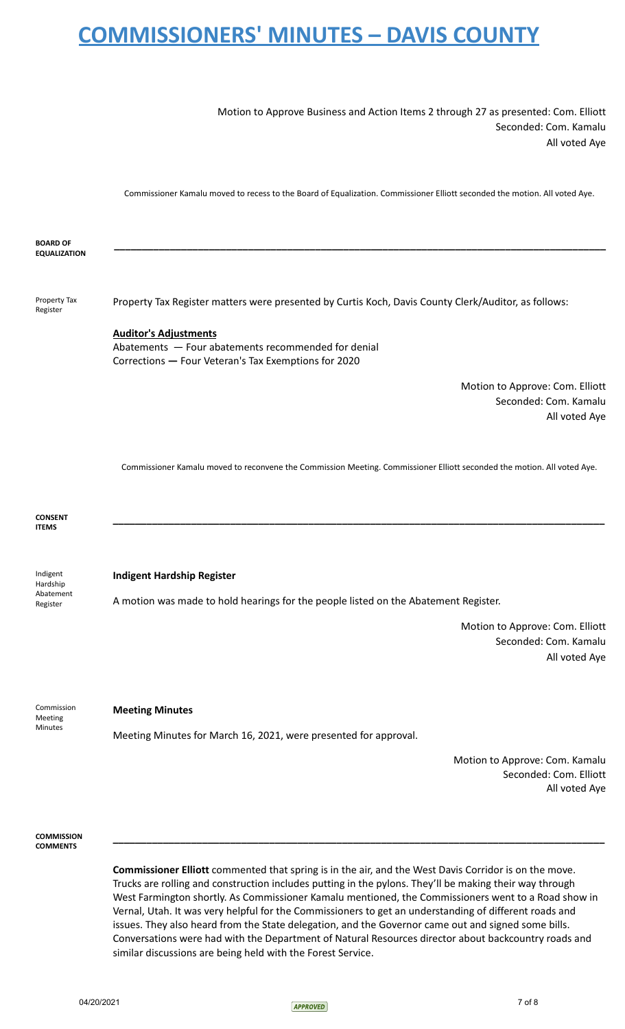Motion to Approve Business and Action Items 2 through 27 as presented: Com. Elliott Seconded: Com. Kamalu All voted Aye

Commissioner Kamalu moved to recess to the Board of Equalization. Commissioner Elliott seconded the motion. All voted Aye.

**BOARD OF EQUALIZATION \_\_\_\_\_\_\_\_\_\_\_\_\_\_\_\_\_\_\_\_\_\_\_\_\_\_\_\_\_\_\_\_\_\_\_\_\_\_\_\_\_\_\_\_\_\_\_\_\_\_\_\_\_\_\_\_\_\_\_\_\_\_\_\_\_\_\_\_\_\_\_\_\_\_\_\_\_\_\_\_\_\_\_\_\_\_\_\_** Property Tax Register Property Tax Register matters were presented by Curtis Koch, Davis County Clerk/Auditor, as follows: **Auditor's Adjustments** Abatements — Four abatements recommended for denial Corrections **—** Four Veteran's Tax Exemptions for 2020 Motion to Approve: Com. Elliott Seconded: Com. Kamalu All voted Aye Commissioner Kamalu moved to reconvene the Commission Meeting. Commissioner Elliott seconded the motion. All voted Aye. **CONSENT ITEMS \_\_\_\_\_\_\_\_\_\_\_\_\_\_\_\_\_\_\_\_\_\_\_\_\_\_\_\_\_\_\_\_\_\_\_\_\_\_\_\_\_\_\_\_\_\_\_\_\_\_\_\_\_\_\_\_\_\_\_\_\_\_\_\_\_\_\_\_\_\_\_\_\_\_\_\_\_\_\_\_\_\_\_\_\_\_\_\_** Indigent Hardship Abatement Register **Indigent Hardship Register** A motion was made to hold hearings for the people listed on the Abatement Register. Motion to Approve: Com. Elliott Seconded: Com. Kamalu All voted Aye Commission Meeting Minutes **Meeting Minutes** Meeting Minutes for March 16, 2021, were presented for approval. Motion to Approve: Com. Kamalu Seconded: Com. Elliott All voted Aye **COMMISSION COMMENTS \_\_\_\_\_\_\_\_\_\_\_\_\_\_\_\_\_\_\_\_\_\_\_\_\_\_\_\_\_\_\_\_\_\_\_\_\_\_\_\_\_\_\_\_\_\_\_\_\_\_\_\_\_\_\_\_\_\_\_\_\_\_\_\_\_\_\_\_\_\_\_\_\_\_\_\_\_\_\_\_\_\_\_\_\_\_\_\_**

> **Commissioner Elliott** commented that spring is in the air, and the West Davis Corridor is on the move. Trucks are rolling and construction includes putting in the pylons. They'll be making their way through West Farmington shortly. As Commissioner Kamalu mentioned, the Commissioners went to a Road show in Vernal, Utah. It was very helpful for the Commissioners to get an understanding of different roads and issues. They also heard from the State delegation, and the Governor came out and signed some bills. Conversations were had with the Department of Natural Resources director about backcountry roads and similar discussions are being held with the Forest Service.